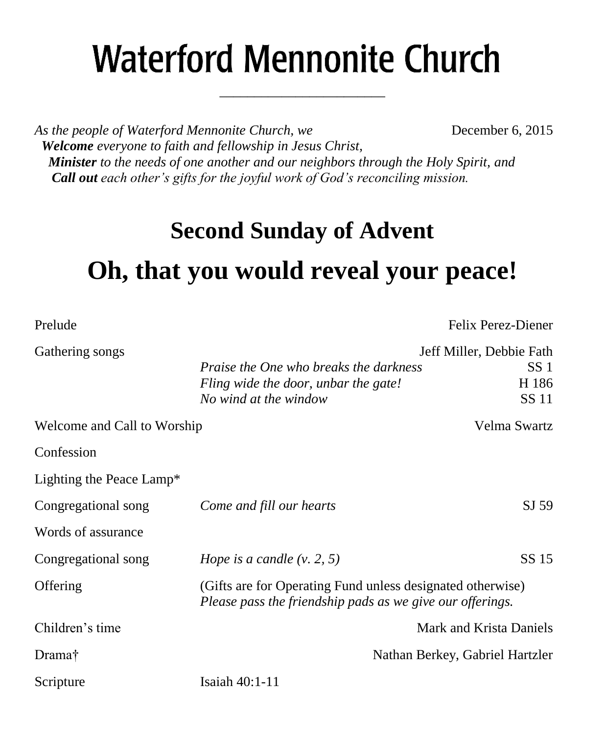# **Waterford Mennonite Church**

\_\_\_\_\_\_\_\_\_\_\_\_\_\_\_\_\_\_\_\_\_\_\_\_

*As the people of Waterford Mennonite Church, we* **December 6, 2015**  *Welcome everyone to faith and fellowship in Jesus Christ, Minister to the needs of one another and our neighbors through the Holy Spirit, and Call out each other's gifts for the joyful work of God's reconciling mission.*

### **Second Sunday of Advent**

## **Oh, that you would reveal your peace!**

| Prelude                     |                                                                                                                         | Felix Perez-Diener                                            |
|-----------------------------|-------------------------------------------------------------------------------------------------------------------------|---------------------------------------------------------------|
| Gathering songs             | <i>Praise the One who breaks the darkness</i><br>Fling wide the door, unbar the gate!<br>No wind at the window          | Jeff Miller, Debbie Fath<br>SS <sub>1</sub><br>H 186<br>SS 11 |
| Welcome and Call to Worship |                                                                                                                         | Velma Swartz                                                  |
| Confession                  |                                                                                                                         |                                                               |
| Lighting the Peace Lamp*    |                                                                                                                         |                                                               |
| Congregational song         | Come and fill our hearts                                                                                                | SJ 59                                                         |
| Words of assurance          |                                                                                                                         |                                                               |
| Congregational song         | Hope is a candle $(v, 2, 5)$                                                                                            | SS 15                                                         |
| Offering                    | (Gifts are for Operating Fund unless designated otherwise)<br>Please pass the friendship pads as we give our offerings. |                                                               |
| Children's time             |                                                                                                                         | Mark and Krista Daniels                                       |
| Drama†                      |                                                                                                                         | Nathan Berkey, Gabriel Hartzler                               |
| Scripture                   | Isaiah 40:1-11                                                                                                          |                                                               |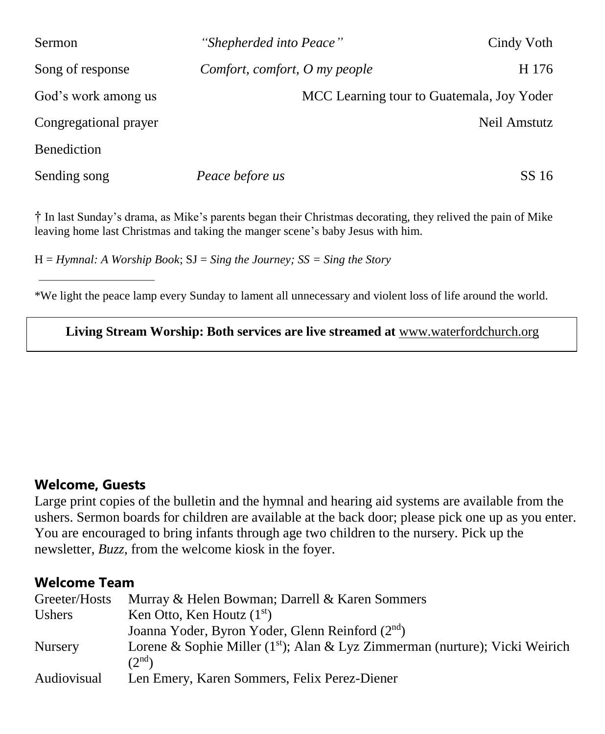| <b>Sermon</b>         | "Shepherded into Peace"       |                                           | Cindy Voth   |
|-----------------------|-------------------------------|-------------------------------------------|--------------|
| Song of response      | Comfort, comfort, O my people |                                           | H 176        |
| God's work among us   |                               | MCC Learning tour to Guatemala, Joy Yoder |              |
| Congregational prayer |                               |                                           | Neil Amstutz |
| <b>Benediction</b>    |                               |                                           |              |
| Sending song          | Peace before us               |                                           | SS 16        |

† In last Sunday's drama, as Mike's parents began their Christmas decorating, they relived the pain of Mike leaving home last Christmas and taking the manger scene's baby Jesus with him.

H = *Hymnal: A Worship Book*; SJ = *Sing the Journey; SS = Sing the Story*

\*We light the peace lamp every Sunday to lament all unnecessary and violent loss of life around the world.

**Living Stream Worship: Both services are live streamed at** [www.waterfordchurch.org](http://www.waterfordchurch.org/)

#### **Welcome, Guests**

Large print copies of the bulletin and the hymnal and hearing aid systems are available from the ushers. Sermon boards for children are available at the back door; please pick one up as you enter. You are encouraged to bring infants through age two children to the nursery. Pick up the newsletter, *Buzz,* from the welcome kiosk in the foyer.

#### **Welcome Team**

| Greeter/Hosts      | Murray & Helen Bowman; Darrell & Karen Sommers                                                        |
|--------------------|-------------------------------------------------------------------------------------------------------|
| Ushers             | Ken Otto, Ken Houtz $(1st)$                                                                           |
|                    | Joanna Yoder, Byron Yoder, Glenn Reinford (2 <sup>nd</sup> )                                          |
| <b>Nursery</b>     | Lorene & Sophie Miller ( $1st$ ); Alan & Lyz Zimmerman (nurture); Vicki Weirich<br>(2 <sup>nd</sup> ) |
| <b>Audiovisual</b> | Len Emery, Karen Sommers, Felix Perez-Diener                                                          |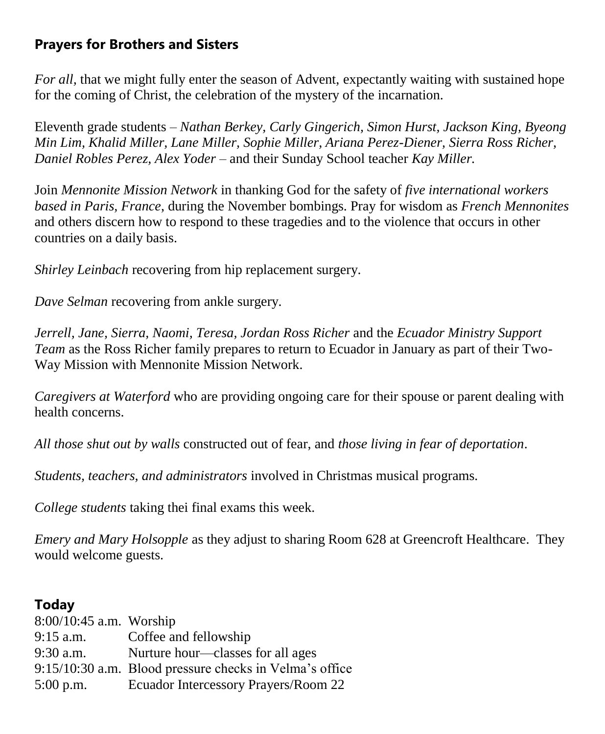#### **Prayers for Brothers and Sisters**

*For all,* that we might fully enter the season of Advent, expectantly waiting with sustained hope for the coming of Christ, the celebration of the mystery of the incarnation.

Eleventh grade students *– Nathan Berkey, Carly Gingerich, Simon Hurst, Jackson King, Byeong Min Lim, Khalid Miller, Lane Miller, Sophie Miller, Ariana Perez-Diener, Sierra Ross Richer, Daniel Robles Perez, Alex Yoder –* and their Sunday School teacher *Kay Miller.* 

Join *Mennonite Mission Network* in thanking God for the safety of *five international workers based in Paris, France*, during the November bombings. Pray for wisdom as *French Mennonites* and others discern how to respond to these tragedies and to the violence that occurs in other countries on a daily basis.

*Shirley Leinbach* recovering from hip replacement surgery.

*Dave Selman* recovering from ankle surgery.

*Jerrell, Jane, Sierra, Naomi, Teresa, Jordan Ross Richer* and the *Ecuador Ministry Support Team* as the Ross Richer family prepares to return to Ecuador in January as part of their Two-Way Mission with Mennonite Mission Network.

*Caregivers at Waterford* who are providing ongoing care for their spouse or parent dealing with health concerns.

*All those shut out by walls* constructed out of fear, and *those living in fear of deportation*.

*Students, teachers, and administrators* involved in Christmas musical programs.

*College students* taking thei final exams this week.

*Emery and Mary Holsopple* as they adjust to sharing Room 628 at Greencroft Healthcare. They would welcome guests.

#### **Today**

| $8:00/10:45$ a.m. Worship |                                                         |
|---------------------------|---------------------------------------------------------|
| $9:15$ a.m.               | Coffee and fellowship                                   |
| $9:30$ a.m.               | Nurture hour—classes for all ages                       |
|                           | 9:15/10:30 a.m. Blood pressure checks in Velma's office |
| $5:00$ p.m.               | Ecuador Intercessory Prayers/Room 22                    |